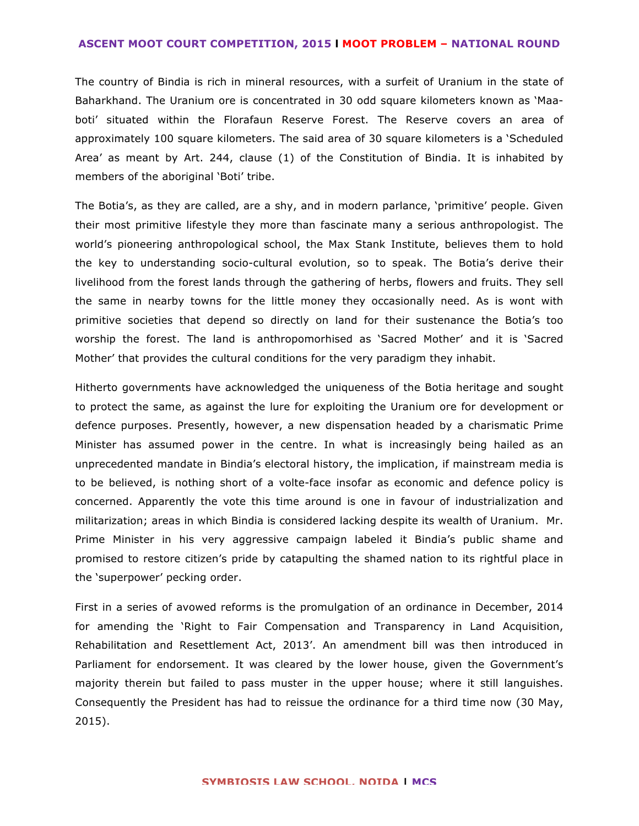## **ASCENT MOOT COURT COMPETITION, 2015 l MOOT PROBLEM – NATIONAL ROUND**

The country of Bindia is rich in mineral resources, with a surfeit of Uranium in the state of Baharkhand. The Uranium ore is concentrated in 30 odd square kilometers known as 'Maaboti' situated within the Florafaun Reserve Forest. The Reserve covers an area of approximately 100 square kilometers. The said area of 30 square kilometers is a 'Scheduled Area' as meant by Art. 244, clause (1) of the Constitution of Bindia. It is inhabited by members of the aboriginal 'Boti' tribe.

The Botia's, as they are called, are a shy, and in modern parlance, 'primitive' people. Given their most primitive lifestyle they more than fascinate many a serious anthropologist. The world's pioneering anthropological school, the Max Stank Institute, believes them to hold the key to understanding socio-cultural evolution, so to speak. The Botia's derive their livelihood from the forest lands through the gathering of herbs, flowers and fruits. They sell the same in nearby towns for the little money they occasionally need. As is wont with primitive societies that depend so directly on land for their sustenance the Botia's too worship the forest. The land is anthropomorhised as 'Sacred Mother' and it is 'Sacred Mother' that provides the cultural conditions for the very paradigm they inhabit.

Hitherto governments have acknowledged the uniqueness of the Botia heritage and sought to protect the same, as against the lure for exploiting the Uranium ore for development or defence purposes. Presently, however, a new dispensation headed by a charismatic Prime Minister has assumed power in the centre. In what is increasingly being hailed as an unprecedented mandate in Bindia's electoral history, the implication, if mainstream media is to be believed, is nothing short of a volte-face insofar as economic and defence policy is concerned. Apparently the vote this time around is one in favour of industrialization and militarization; areas in which Bindia is considered lacking despite its wealth of Uranium. Mr. Prime Minister in his very aggressive campaign labeled it Bindia's public shame and promised to restore citizen's pride by catapulting the shamed nation to its rightful place in the 'superpower' pecking order.

First in a series of avowed reforms is the promulgation of an ordinance in December, 2014 for amending the 'Right to Fair Compensation and Transparency in Land Acquisition, Rehabilitation and Resettlement Act, 2013'. An amendment bill was then introduced in Parliament for endorsement. It was cleared by the lower house, given the Government's majority therein but failed to pass muster in the upper house; where it still languishes. Consequently the President has had to reissue the ordinance for a third time now (30 May, 2015).